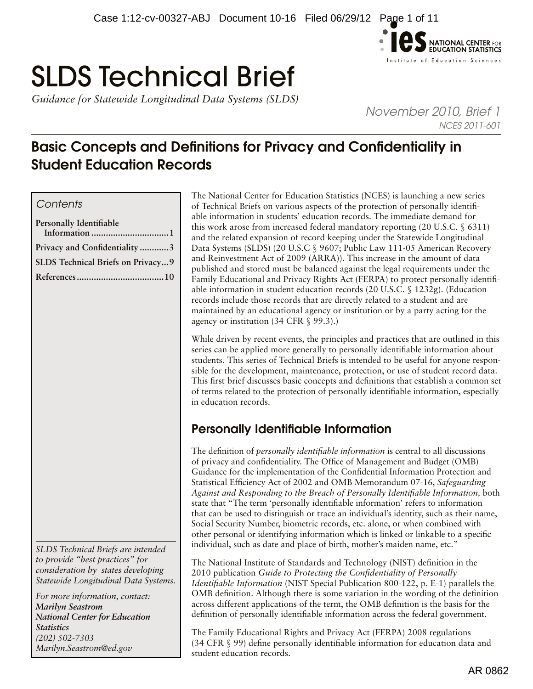

# SLDS Technical Brief

*Guidance for Statewide Longitudinal Data Systems (SLDS)* 

*November 2010, Brief 1 NCES 2011-601*

# Basic Concepts and Definitions for Privacy and Confidentiality in Student Education Records

# *Contents*

| Personally Identifiable           |
|-----------------------------------|
| Privacy and Confidentiality3      |
| SLDS Technical Briefs on Privacy9 |
|                                   |

*SLDS Technical Briefs are intended to provide "best practices" for consideration by states developing Statewide Longitudinal Data Systems.* 

*For more information, contact: Marilyn Seastrom National Center for Education Statistics (202) 502-7303 [Marilyn.Seastrom@ed.gov](mailto:Marilyn.Seastrom%40ed.gov?subject=)*

The National Center for Education Statistics (NCES) is launching a new series of Technical Briefs on various aspects of the protection of personally identifiable information in students' education records. The immediate demand for this work arose from increased federal mandatory reporting (20 U.S.C. § 6311) and the related expansion of record keeping under the Statewide Longitudinal Data Systems (SLDS) (20 U.S.C § 9607; Public Law 111-05 American Recovery and Reinvestment Act of 2009 (ARRA)). This increase in the amount of data published and stored must be balanced against the legal requirements under the Family Educational and Privacy Rights Act (FERPA) to protect personally identifiable information in student education records (20 U.S.C. § 1232g). (Education records include those records that are directly related to a student and are maintained by an educational agency or institution or by a party acting for the agency or institution (34 CFR § 99.3).)

While driven by recent events, the principles and practices that are outlined in this series can be applied more generally to personally identifiable information about students. This series of Technical Briefs is intended to be useful for anyone responsible for the development, maintenance, protection, or use of student record data. This first brief discusses basic concepts and definitions that establish a common set of terms related to the protection of personally identifiable information, especially in education records.

# Personally Identifiable Information

The definition of *personally identifiable information* is central to all discussions of privacy and confidentiality. The Office of Management and Budget (OMB) Guidance for the implementation of the Confidential Information Protection and Statistical Efficiency Act of 2002 and OMB Memorandum 07-16, *Safeguarding Against and Responding to the Breach of Personally Identifiable Information,* both state that "The term 'personally identifiable information' refers to information that can be used to distinguish or trace an individual's identity, such as their name, Social Security Number, biometric records, etc. alone, or when combined with other personal or identifying information which is linked or linkable to a specific individual, such as date and place of birth, mother's maiden name, etc."

The National Institute of Standards and Technology (NIST) definition in the 2010 publication *Guide to Protecting the Confidentiality of Personally Identifiable Information* (NIST Special Publication 800-122, p. E-1) parallels the OMB definition. Although there is some variation in the wording of the definition across different applications of the term, the OMB definition is the basis for the definition of personally identifiable information across the federal government.

The Family Educational Rights and Privacy Act (FERPA) 2008 regulations (34 CFR § 99) define personally identifiable information for education data and student education records.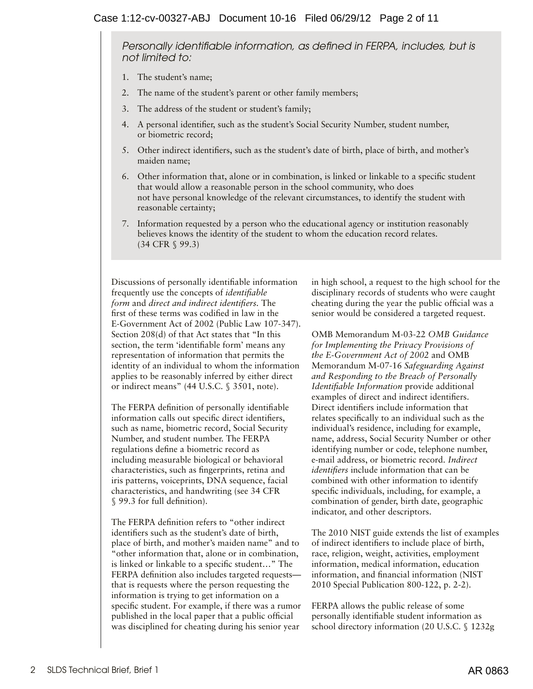*Personally identifiable information, as defined in FERPA, includes, but is not limited to:* 

- 1. The student's name;
- 2. The name of the student's parent or other family members;
- 3. The address of the student or student's family;
- 4. A personal identifier, such as the student's Social Security Number, student number, or biometric record;
- 5. Other indirect identifiers, such as the student's date of birth, place of birth, and mother's maiden name;
- 6. Other information that, alone or in combination, is linked or linkable to a specific student that would allow a reasonable person in the school community, who does not have personal knowledge of the relevant circumstances, to identify the student with reasonable certainty;
- 7. Information requested by a person who the educational agency or institution reasonably believes knows the identity of the student to whom the education record relates. (34 CFR § 99.3)

Discussions of personally identifiable information frequently use the concepts of *identifiable form* and *direct and indirect identifiers.* The first of these terms was codified in law in the E-Government Act of 2002 (Public Law 107-347). Section 208(d) of that Act states that "In this section, the term 'identifiable form' means any representation of information that permits the identity of an individual to whom the information applies to be reasonably inferred by either direct or indirect means" (44 U.S.C. § 3501, note).

The FERPA definition of personally identifiable information calls out specific direct identifiers, such as name, biometric record, Social Security Number, and student number. The FERPA regulations define a biometric record as including measurable biological or behavioral characteristics, such as fingerprints, retina and iris patterns, voiceprints, DNA sequence, facial characteristics, and handwriting (see 34 CFR § 99.3 for full definition).

The FERPA definition refers to "other indirect identifiers such as the student's date of birth, place of birth, and mother's maiden name" and to "other information that, alone or in combination, is linked or linkable to a specific student…" The FERPA definition also includes targeted requests that is requests where the person requesting the information is trying to get information on a specific student. For example, if there was a rumor published in the local paper that a public official was disciplined for cheating during his senior year

in high school, a request to the high school for the disciplinary records of students who were caught cheating during the year the public official was a senior would be considered a targeted request.

OMB Memorandum M-03-22 *OMB Guidance for Implementing the Privacy Provisions of the E-Government Act of 2002* and OMB Memorandum M-07-16 *Safeguarding Against and Responding to the Breach of Personally Identifiable Information* provide additional examples of direct and indirect identifiers. Direct identifiers include information that relates specifically to an individual such as the individual's residence, including for example, name, address, Social Security Number or other identifying number or code, telephone number, e-mail address, or biometric record. *Indirect identifiers* include information that can be combined with other information to identify specific individuals, including, for example, a combination of gender, birth date, geographic indicator, and other descriptors.

The 2010 NIST guide extends the list of examples of indirect identifiers to include place of birth, race, religion, weight, activities, employment information, medical information, education information, and financial information (NIST 2010 Special Publication 800-122, p. 2-2).

FERPA allows the public release of some personally identifiable student information as school directory information (20 U.S.C. § 1232g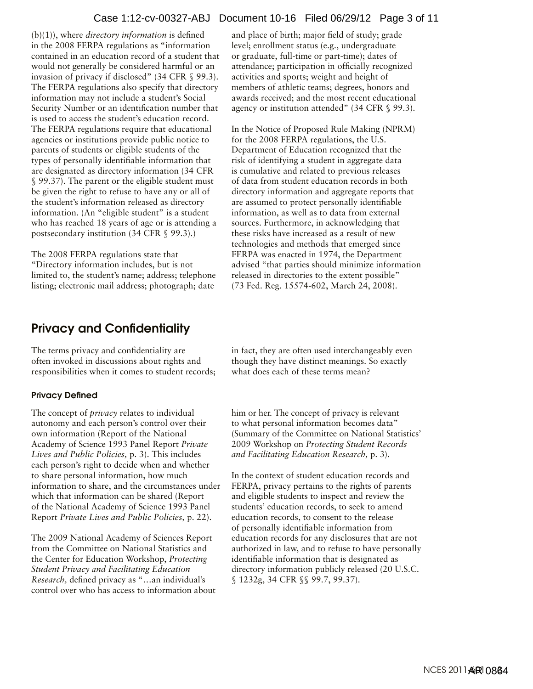#### Case 1:12-cv-00327-ABJ Document 10-16 Filed 06/29/12 Page 3 of 11

<span id="page-2-0"></span>(b)(1)), where *directory information* is defined in the 2008 FERPA regulations as "information contained in an education record of a student that would not generally be considered harmful or an invasion of privacy if disclosed" (34 CFR § 99.3). The FERPA regulations also specify that directory information may not include a student's Social Security Number or an identification number that is used to access the student's education record. The FERPA regulations require that educational agencies or institutions provide public notice to parents of students or eligible students of the types of personally identifiable information that are designated as directory information (34 CFR § 99.37). The parent or the eligible student must be given the right to refuse to have any or all of the student's information released as directory information. (An "eligible student" is a student who has reached 18 years of age or is attending a postsecondary institution (34 CFR § 99.3).)

The 2008 FERPA regulations state that "Directory information includes, but is not limited to, the student's name; address; telephone listing; electronic mail address; photograph; date

# Privacy and Confidentiality

The terms privacy and confidentiality are often invoked in discussions about rights and responsibilities when it comes to student records;

#### Privacy Defined

The concept of *privacy* relates to individual autonomy and each person's control over their own information (Report of the National Academy of Science 1993 Panel Report *Private Lives and Public Policies,* p. 3). This includes each person's right to decide when and whether to share personal information, how much information to share, and the circumstances under which that information can be shared (Report of the National Academy of Science 1993 Panel Report *Private Lives and Public Policies,* p. 22).

The 2009 National Academy of Sciences Report from the Committee on National Statistics and the Center for Education Workshop, *Protecting Student Privacy and Facilitating Education Research,* defined privacy as "…an individual's control over who has access to information about

and place of birth; major field of study; grade level; enrollment status (e.g., undergraduate or graduate, full-time or part-time); dates of attendance; participation in officially recognized activities and sports; weight and height of members of athletic teams; degrees, honors and awards received; and the most recent educational agency or institution attended" (34 CFR § 99.3).

In the Notice of Proposed Rule Making (NPRM) for the 2008 FERPA regulations, the U.S. Department of Education recognized that the risk of identifying a student in aggregate data is cumulative and related to previous releases of data from student education records in both directory information and aggregate reports that are assumed to protect personally identifiable information, as well as to data from external sources. Furthermore, in acknowledging that these risks have increased as a result of new technologies and methods that emerged since FERPA was enacted in 1974, the Department advised "that parties should minimize information released in directories to the extent possible" (73 Fed. Reg. 15574-602, March 24, 2008).

in fact, they are often used interchangeably even though they have distinct meanings. So exactly what does each of these terms mean?

him or her. The concept of privacy is relevant to what personal information becomes data" (Summary of the Committee on National Statistics' 2009 Workshop on *Protecting Student Records and Facilitating Education Research,* p. 3).

In the context of student education records and FERPA, privacy pertains to the rights of parents and eligible students to inspect and review the students' education records, to seek to amend education records, to consent to the release of personally identifiable information from education records for any disclosures that are not authorized in law, and to refuse to have personally identifiable information that is designated as directory information publicly released (20 U.S.C. § 1232g, 34 CFR §§ 99.7, 99.37).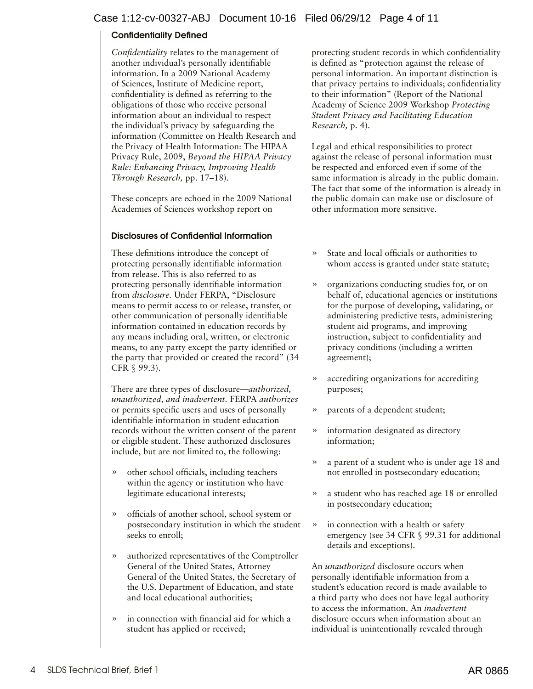# Confidentiality Defined

*Confidentiality* relates to the management of another individual's personally identifiable information. In a 2009 National Academy of Sciences, Institute of Medicine report, confidentiality is defined as referring to the obligations of those who receive personal information about an individual to respect the individual's privacy by safeguarding the information (Committee on Health Research and the Privacy of Health Information: The HIPAA Privacy Rule, 2009, *Beyond the HIPAA Privacy Rule: Enhancing Privacy, Improving Health Through Research,* pp. 17–18).

These concepts are echoed in the 2009 National Academies of Sciences workshop report on

# Disclosures of Confidential Information

These definitions introduce the concept of protecting personally identifiable information from release. This is also referred to as protecting personally identifiable information from *disclosure.* Under FERPA, "Disclosure means to permit access to or release, transfer, or other communication of personally identifiable information contained in education records by any means including oral, written, or electronic means, to any party except the party identified or the party that provided or created the record" (34 CFR § 99.3).

There are three types of disclosure*—authorized, unauthorized, and inadvertent.* FERPA *authorizes* or permits specific users and uses of personally identifiable information in student education records without the written consent of the parent or eligible student. These authorized disclosures include, but are not limited to, the following:

- » other school officials, including teachers within the agency or institution who have legitimate educational interests;
- » officials of another school, school system or postsecondary institution in which the student seeks to enroll;
- » authorized representatives of the Comptroller General of the United States, Attorney General of the United States, the Secretary of the U.S. Department of Education, and state and local educational authorities;
- » in connection with financial aid for which a student has applied or received;

protecting student records in which confidentiality is defined as "protection against the release of personal information. An important distinction is that privacy pertains to individuals; confidentiality to their information" (Report of the National Academy of Science 2009 Workshop *Protecting Student Privacy and Facilitating Education Research,* p. 4).

Legal and ethical responsibilities to protect against the release of personal information must be respected and enforced even if some of the same information is already in the public domain. The fact that some of the information is already in the public domain can make use or disclosure of other information more sensitive.

- » State and local officials or authorities to whom access is granted under state statute;
- » organizations conducting studies for, or on behalf of, educational agencies or institutions for the purpose of developing, validating, or administering predictive tests, administering student aid programs, and improving instruction, subject to confidentiality and privacy conditions (including a written agreement);
- » accrediting organizations for accrediting purposes;
- » parents of a dependent student;
- » information designated as directory information;
- » a parent of a student who is under age 18 and not enrolled in postsecondary education;
- » a student who has reached age 18 or enrolled in postsecondary education;
- » in connection with a health or safety emergency (see 34 CFR § 99.31 for additional details and exceptions).

An *unauthorized* disclosure occurs when personally identifiable information from a student's education record is made available to a third party who does not have legal authority to access the information. An *inadvertent*  disclosure occurs when information about an individual is unintentionally revealed through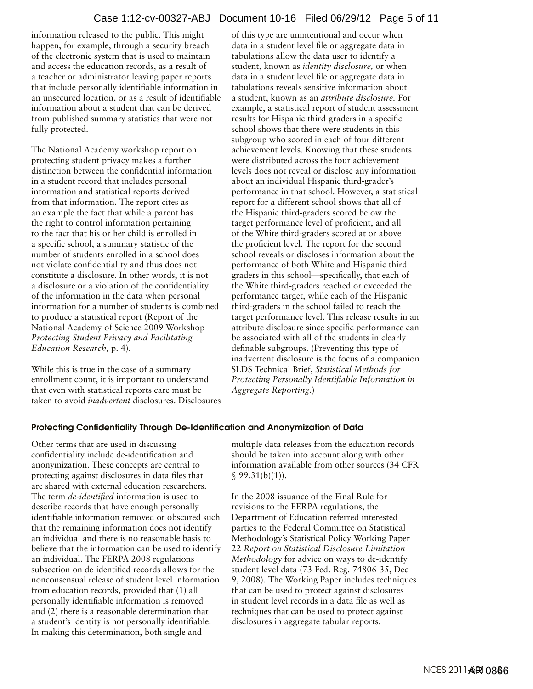information released to the public. This might happen, for example, through a security breach of the electronic system that is used to maintain and access the education records, as a result of a teacher or administrator leaving paper reports that include personally identifiable information in an unsecured location, or as a result of identifiable information about a student that can be derived from published summary statistics that were not fully protected.

The National Academy workshop report on protecting student privacy makes a further distinction between the confidential information in a student record that includes personal information and statistical reports derived from that information. The report cites as an example the fact that while a parent has the right to control information pertaining to the fact that his or her child is enrolled in a specific school, a summary statistic of the number of students enrolled in a school does not violate confidentiality and thus does not constitute a disclosure. In other words, it is not a disclosure or a violation of the confidentiality of the information in the data when personal information for a number of students is combined to produce a statistical report (Report of the National Academy of Science 2009 Workshop *Protecting Student Privacy and Facilitating Education Research,* p. 4).

While this is true in the case of a summary enrollment count, it is important to understand that even with statistical reports care must be taken to avoid *inadvertent* disclosures. Disclosures of this type are unintentional and occur when data in a student level file or aggregate data in tabulations allow the data user to identify a student, known as *identity disclosure,* or when data in a student level file or aggregate data in tabulations reveals sensitive information about a student, known as an *attribute disclosure.* For example, a statistical report of student assessment results for Hispanic third-graders in a specific school shows that there were students in this subgroup who scored in each of four different achievement levels. Knowing that these students were distributed across the four achievement levels does not reveal or disclose any information about an individual Hispanic third-grader's performance in that school. However, a statistical report for a different school shows that all of the Hispanic third-graders scored below the target performance level of proficient, and all of the White third-graders scored at or above the proficient level. The report for the second school reveals or discloses information about the performance of both White and Hispanic thirdgraders in this school—specifically, that each of the White third-graders reached or exceeded the performance target, while each of the Hispanic third-graders in the school failed to reach the target performance level. This release results in an attribute disclosure since specific performance can be associated with all of the students in clearly definable subgroups. (Preventing this type of inadvertent disclosure is the focus of a companion SLDS Technical Brief, *Statistical Methods for Protecting Personally Identifiable Information in Aggregate Reporting.*)

## Protecting Confidentiality Through De-Identification and Anonymization of Data

Other terms that are used in discussing confidentiality include de-identification and anonymization. These concepts are central to protecting against disclosures in data files that are shared with external education researchers. The term *de-identified* information is used to describe records that have enough personally identifiable information removed or obscured such that the remaining information does not identify an individual and there is no reasonable basis to believe that the information can be used to identify an individual. The FERPA 2008 regulations subsection on de-identified records allows for the nonconsensual release of student level information from education records, provided that (1) all personally identifiable information is removed and (2) there is a reasonable determination that a student's identity is not personally identifiable. In making this determination, both single and

multiple data releases from the education records should be taken into account along with other information available from other sources (34 CFR  $$99.31(b)(1)$ .

In the 2008 issuance of the Final Rule for revisions to the FERPA regulations, the Department of Education referred interested parties to the Federal Committee on Statistical Methodology's Statistical Policy Working Paper 22 *Report on Statistical Disclosure Limitation Methodology* for advice on ways to de-identify student level data (73 Fed. Reg. 74806-35, Dec 9, 2008). The Working Paper includes techniques that can be used to protect against disclosures in student level records in a data file as well as techniques that can be used to protect against disclosures in aggregate tabular reports.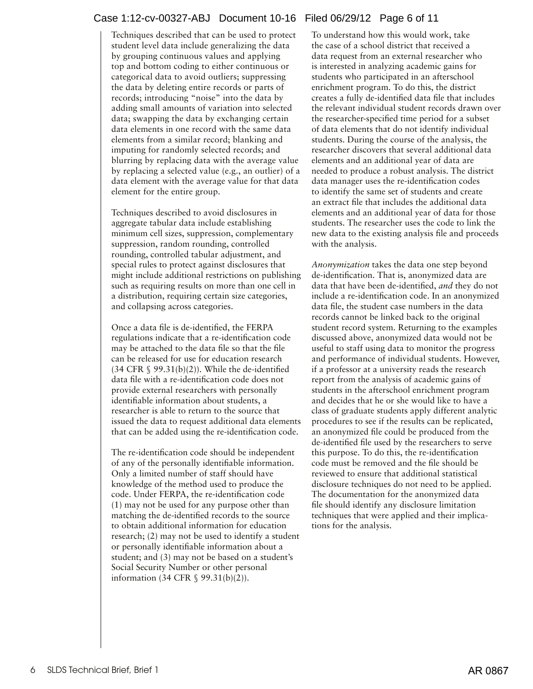# Case 1:12-cv-00327-ABJ Document 10-16 Filed 06/29/12 Page 6 of 11

Techniques described that can be used to protect student level data include generalizing the data by grouping continuous values and applying top and bottom coding to either continuous or categorical data to avoid outliers; suppressing the data by deleting entire records or parts of records; introducing "noise" into the data by adding small amounts of variation into selected data; swapping the data by exchanging certain data elements in one record with the same data elements from a similar record; blanking and imputing for randomly selected records; and blurring by replacing data with the average value by replacing a selected value (e.g., an outlier) of a data element with the average value for that data element for the entire group.

Techniques described to avoid disclosures in aggregate tabular data include establishing minimum cell sizes, suppression, complementary suppression, random rounding, controlled rounding, controlled tabular adjustment, and special rules to protect against disclosures that might include additional restrictions on publishing such as requiring results on more than one cell in a distribution, requiring certain size categories, and collapsing across categories.

Once a data file is de-identified, the FERPA regulations indicate that a re-identification code may be attached to the data file so that the file can be released for use for education research  $(34 \text{ CFR} \text{ § } 99.31 \text{ (b)}(2))$ . While the de-identified data file with a re-identification code does not provide external researchers with personally identifiable information about students, a researcher is able to return to the source that issued the data to request additional data elements that can be added using the re-identification code.

The re-identification code should be independent of any of the personally identifiable information. Only a limited number of staff should have knowledge of the method used to produce the code. Under FERPA, the re-identification code (1) may not be used for any purpose other than matching the de-identified records to the source to obtain additional information for education research; (2) may not be used to identify a student or personally identifiable information about a student; and (3) may not be based on a student's Social Security Number or other personal information (34 CFR § 99.31(b)(2)).

To understand how this would work, take the case of a school district that received a data request from an external researcher who is interested in analyzing academic gains for students who participated in an afterschool enrichment program. To do this, the district creates a fully de-identified data file that includes the relevant individual student records drawn over the researcher-specified time period for a subset of data elements that do not identify individual students. During the course of the analysis, the researcher discovers that several additional data elements and an additional year of data are needed to produce a robust analysis. The district data manager uses the re-identification codes to identify the same set of students and create an extract file that includes the additional data elements and an additional year of data for those students. The researcher uses the code to link the new data to the existing analysis file and proceeds with the analysis.

*Anonymization* takes the data one step beyond de-identification. That is, anonymized data are data that have been de-identified, *and* they do not include a re-identification code. In an anonymized data file, the student case numbers in the data records cannot be linked back to the original student record system. Returning to the examples discussed above, anonymized data would not be useful to staff using data to monitor the progress and performance of individual students. However, if a professor at a university reads the research report from the analysis of academic gains of students in the afterschool enrichment program and decides that he or she would like to have a class of graduate students apply different analytic procedures to see if the results can be replicated, an anonymized file could be produced from the de-identified file used by the researchers to serve this purpose. To do this, the re-identification code must be removed and the file should be reviewed to ensure that additional statistical disclosure techniques do not need to be applied. The documentation for the anonymized data file should identify any disclosure limitation techniques that were applied and their implications for the analysis.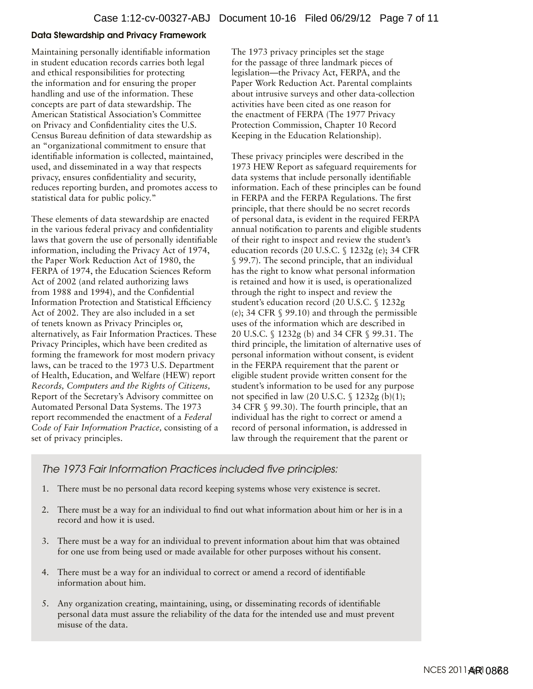#### Data Stewardship and Privacy Framework

Maintaining personally identifiable information in student education records carries both legal and ethical responsibilities for protecting the information and for ensuring the proper handling and use of the information. These concepts are part of data stewardship. The American Statistical Association's Committee on Privacy and Confidentiality cites the U.S. Census Bureau definition of data stewardship as an "organizational commitment to ensure that identifiable information is collected, maintained, used, and disseminated in a way that respects privacy, ensures confidentiality and security, reduces reporting burden, and promotes access to statistical data for public policy."

These elements of data stewardship are enacted in the various federal privacy and confidentiality laws that govern the use of personally identifiable information, including the Privacy Act of 1974, the Paper Work Reduction Act of 1980, the FERPA of 1974, the Education Sciences Reform Act of 2002 (and related authorizing laws from 1988 and 1994), and the Confidential Information Protection and Statistical Efficiency Act of 2002. They are also included in a set of tenets known as Privacy Principles or, alternatively, as Fair Information Practices. These Privacy Principles, which have been credited as forming the framework for most modern privacy laws, can be traced to the 1973 U.S. Department of Health, Education, and Welfare (HEW) report *Records, Computers and the Rights of Citizens,* Report of the Secretary's Advisory committee on Automated Personal Data Systems. The 1973 report recommended the enactment of a *Federal Code of Fair Information Practice,* consisting of a set of privacy principles.

The 1973 privacy principles set the stage for the passage of three landmark pieces of legislation—the Privacy Act, FERPA, and the Paper Work Reduction Act. Parental complaints about intrusive surveys and other data-collection activities have been cited as one reason for the enactment of FERPA (The 1977 Privacy Protection Commission, Chapter 10 Record Keeping in the Education Relationship).

These privacy principles were described in the 1973 HEW Report as safeguard requirements for data systems that include personally identifiable information. Each of these principles can be found in FERPA and the FERPA Regulations. The first principle, that there should be no secret records of personal data, is evident in the required FERPA annual notification to parents and eligible students of their right to inspect and review the student's education records (20 U.S.C. § 1232g (e); 34 CFR § 99.7). The second principle, that an individual has the right to know what personal information is retained and how it is used, is operationalized through the right to inspect and review the student's education record (20 U.S.C. § 1232g (e); 34 CFR § 99.10) and through the permissible uses of the information which are described in 20 U.S.C. § 1232g (b) and 34 CFR § 99.31. The third principle, the limitation of alternative uses of personal information without consent, is evident in the FERPA requirement that the parent or eligible student provide written consent for the student's information to be used for any purpose not specified in law (20 U.S.C. § 1232g (b)(1); 34 CFR § 99.30). The fourth principle, that an individual has the right to correct or amend a record of personal information, is addressed in law through the requirement that the parent or

# *The 1973 Fair Information Practices included five principles:*

- 1. There must be no personal data record keeping systems whose very existence is secret.
- 2. There must be a way for an individual to find out what information about him or her is in a record and how it is used.
- 3. There must be a way for an individual to prevent information about him that was obtained for one use from being used or made available for other purposes without his consent.
- 4. There must be a way for an individual to correct or amend a record of identifiable information about him.
- 5. Any organization creating, maintaining, using, or disseminating records of identifiable personal data must assure the reliability of the data for the intended use and must prevent misuse of the data.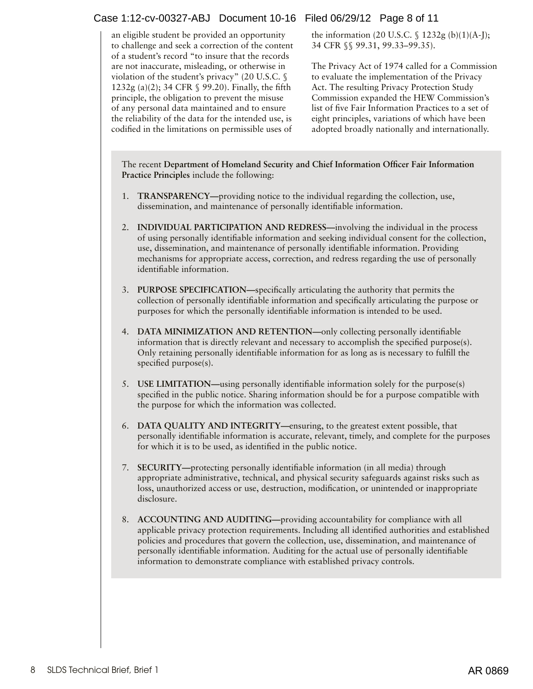# Case 1:12-cv-00327-ABJ Document 10-16 Filed 06/29/12 Page 8 of 11

an eligible student be provided an opportunity to challenge and seek a correction of the content of a student's record "to insure that the records are not inaccurate, misleading, or otherwise in violation of the student's privacy" (20 U.S.C. § 1232g (a)(2); 34 CFR § 99.20). Finally, the fifth principle, the obligation to prevent the misuse of any personal data maintained and to ensure the reliability of the data for the intended use, is codified in the limitations on permissible uses of

the information  $(20 \text{ U.S.C. } \S 1232g \text{ (b)}(1)(A-I);$ 34 CFR §§ 99.31, 99.33–99.35).

The Privacy Act of 1974 called for a Commission to evaluate the implementation of the Privacy Act. The resulting Privacy Protection Study Commission expanded the HEW Commission's list of five Fair Information Practices to a set of eight principles, variations of which have been adopted broadly nationally and internationally.

The recent **Department of Homeland Security and Chief Information Officer Fair Information Practice Principles** include the following:

- 1. **TRANSPARENCY—**providing notice to the individual regarding the collection, use, dissemination, and maintenance of personally identifiable information.
- 2. **INDIVIDUAL PARTICIPATION AND REDRESS—**involving the individual in the process of using personally identifiable information and seeking individual consent for the collection, use, dissemination, and maintenance of personally identifiable information. Providing mechanisms for appropriate access, correction, and redress regarding the use of personally identifiable information.
- 3. **PURPOSE SPECIFICATION—**specifically articulating the authority that permits the collection of personally identifiable information and specifically articulating the purpose or purposes for which the personally identifiable information is intended to be used.
- 4. **DATA MINIMIZATION AND RETENTION—**only collecting personally identifiable information that is directly relevant and necessary to accomplish the specified purpose(s). Only retaining personally identifiable information for as long as is necessary to fulfill the specified purpose(s).
- 5. **USE LIMITATION—**using personally identifiable information solely for the purpose(s) specified in the public notice. Sharing information should be for a purpose compatible with the purpose for which the information was collected.
- 6. **DATA QUALITY AND INTEGRITY—**ensuring, to the greatest extent possible, that personally identifiable information is accurate, relevant, timely, and complete for the purposes for which it is to be used, as identified in the public notice.
- 7. **SECURITY—**protecting personally identifiable information (in all media) through appropriate administrative, technical, and physical security safeguards against risks such as loss, unauthorized access or use, destruction, modification, or unintended or inappropriate disclosure.
- 8. **ACCOUNTING AND AUDITING—**providing accountability for compliance with all applicable privacy protection requirements. Including all identified authorities and established policies and procedures that govern the collection, use, dissemination, and maintenance of personally identifiable information. Auditing for the actual use of personally identifiable information to demonstrate compliance with established privacy controls.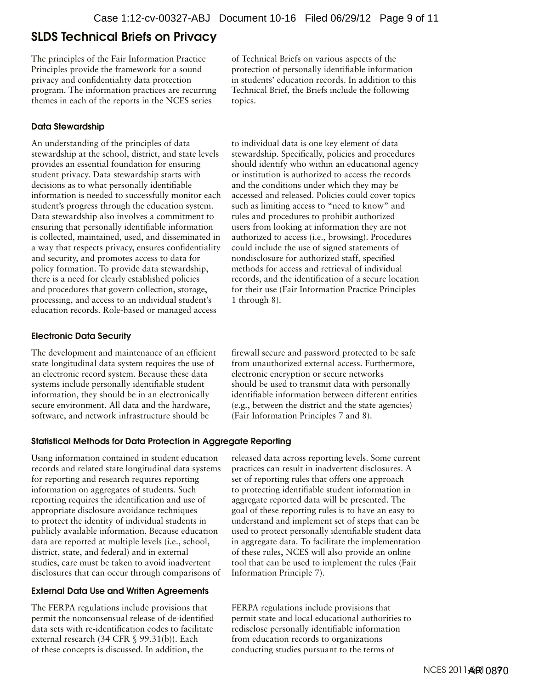# <span id="page-8-0"></span>SLDS Technical Briefs on Privacy

The principles of the Fair Information Practice Principles provide the framework for a sound privacy and confidentiality data protection program. The information practices are recurring themes in each of the reports in the NCES series

## Data Stewardship

An understanding of the principles of data stewardship at the school, district, and state levels provides an essential foundation for ensuring student privacy. Data stewardship starts with decisions as to what personally identifiable information is needed to successfully monitor each student's progress through the education system. Data stewardship also involves a commitment to ensuring that personally identifiable information is collected, maintained, used, and disseminated in a way that respects privacy, ensures confidentiality and security, and promotes access to data for policy formation. To provide data stewardship, there is a need for clearly established policies and procedures that govern collection, storage, processing, and access to an individual student's education records. Role-based or managed access

## Electronic Data Security

The development and maintenance of an efficient state longitudinal data system requires the use of an electronic record system. Because these data systems include personally identifiable student information, they should be in an electronically secure environment. All data and the hardware, software, and network infrastructure should be

of Technical Briefs on various aspects of the protection of personally identifiable information in students' education records. In addition to this Technical Brief, the Briefs include the following topics.

to individual data is one key element of data stewardship. Specifically, policies and procedures should identify who within an educational agency or institution is authorized to access the records and the conditions under which they may be accessed and released. Policies could cover topics such as limiting access to "need to know" and rules and procedures to prohibit authorized users from looking at information they are not authorized to access (i.e., browsing). Procedures could include the use of signed statements of nondisclosure for authorized staff, specified methods for access and retrieval of individual records, and the identification of a secure location for their use (Fair Information Practice Principles 1 through 8).

firewall secure and password protected to be safe from unauthorized external access. Furthermore, electronic encryption or secure networks should be used to transmit data with personally identifiable information between different entities (e.g., between the district and the state agencies) (Fair Information Principles 7 and 8).

## Statistical Methods for Data Protection in Aggregate Reporting

Using information contained in student education records and related state longitudinal data systems for reporting and research requires reporting information on aggregates of students. Such reporting requires the identification and use of appropriate disclosure avoidance techniques to protect the identity of individual students in publicly available information. Because education data are reported at multiple levels (i.e., school, district, state, and federal) and in external studies, care must be taken to avoid inadvertent disclosures that can occur through comparisons of

## External Data Use and Written Agreements

The FERPA regulations include provisions that permit the nonconsensual release of de-identified data sets with re-identification codes to facilitate external research (34 CFR § 99.31(b)). Each of these concepts is discussed. In addition, the

released data across reporting levels. Some current practices can result in inadvertent disclosures. A set of reporting rules that offers one approach to protecting identifiable student information in aggregate reported data will be presented. The goal of these reporting rules is to have an easy to understand and implement set of steps that can be used to protect personally identifiable student data in aggregate data. To facilitate the implementation of these rules, NCES will also provide an online tool that can be used to implement the rules (Fair Information Principle 7).

FERPA regulations include provisions that permit state and local educational authorities to redisclose personally identifiable information from education records to organizations conducting studies pursuant to the terms of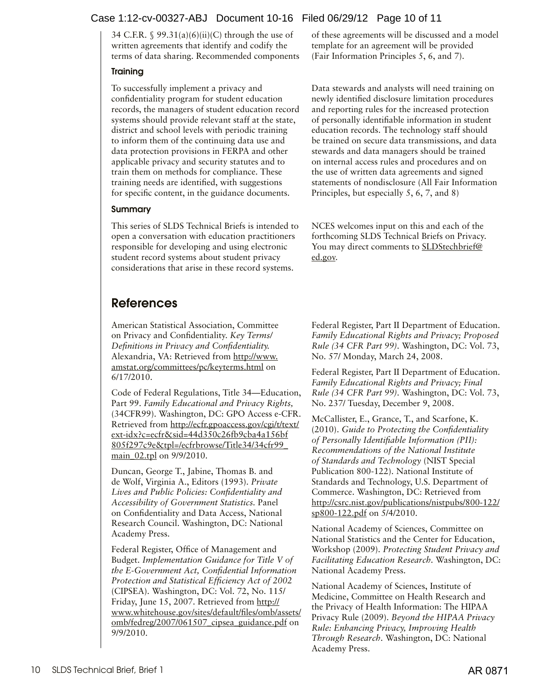# <span id="page-9-0"></span>Case 1:12-cv-00327-ABJ Document 10-16 Filed 06/29/12 Page 10 of 11

34 C.F.R.  $\$$  99.31(a)(6)(ii)(C) through the use of written agreements that identify and codify the terms of data sharing. Recommended components

#### **Training**

To successfully implement a privacy and confidentiality program for student education records, the managers of student education record systems should provide relevant staff at the state, district and school levels with periodic training to inform them of the continuing data use and data protection provisions in FERPA and other applicable privacy and security statutes and to train them on methods for compliance. These training needs are identified, with suggestions for specific content, in the guidance documents.

#### Summary

This series of SLDS Technical Briefs is intended to open a conversation with education practitioners responsible for developing and using electronic student record systems about student privacy considerations that arise in these record systems.

# References

American Statistical Association, Committee on Privacy and Confidentiality. *Key Terms/ Definitions in Privacy and Confidentiality.*  Alexandria, VA: Retrieved from [http://www.](http://www.amstat.org/committees/pc/keyterms.html) [amstat.org/committees/pc/keyterms.html](http://www.amstat.org/committees/pc/keyterms.html) on 6/17/2010.

Code of Federal Regulations, Title 34—Education, Part 99. *Family Educational and Privacy Rights,* (34CFR99). Washington, DC: GPO Access e-CFR. Retrieved from [http://ecfr.gpoaccess.gov/cgi/t/text/](http://ecfr.gpoaccess.gov/cgi/t/text/ext-idx?c=ecfr&sid=44d350c26fb9cba4a156bf805f297c9e&tpl=/ecfrbrowse/Title34/34cfr99_main_02.tpl) [ext-idx?c=ecfr&sid=44d350c26fb9cba4a156bf](http://ecfr.gpoaccess.gov/cgi/t/text/ext-idx?c=ecfr&sid=44d350c26fb9cba4a156bf805f297c9e&tpl=/ecfrbrowse/Title34/34cfr99_main_02.tpl) [805f297c9e&tpl=/ecfrbrowse/Title34/34cfr99\\_](http://ecfr.gpoaccess.gov/cgi/t/text/ext-idx?c=ecfr&sid=44d350c26fb9cba4a156bf805f297c9e&tpl=/ecfrbrowse/Title34/34cfr99_main_02.tpl) main 02.tpl on 9/9/2010.

Duncan, George T., Jabine, Thomas B. and de Wolf, Virginia A., Editors (1993). *Private Lives and Public Policies: Confidentiality and Accessibility of Government Statistics.* Panel on Confidentiality and Data Access, National Research Council. Washington, DC: National Academy Press.

Federal Register, Office of Management and Budget. *Implementation Guidance for Title V of the E-Government Act, Confidential Information Protection and Statistical Efficiency Act of 2002*  (CIPSEA). Washington, DC: Vol. 72, No. 115/ Friday, June 15, 2007. Retrieved from [http://](http://www.whitehouse.gov/sites/default/files/omb/assets/omb/fedreg/2007/061507_cipsea_guidance.pdf) [www.whitehouse.gov/sites/default/files/omb/assets/](http://www.whitehouse.gov/sites/default/files/omb/assets/omb/fedreg/2007/061507_cipsea_guidance.pdf) [omb/fedreg/2007/061507\\_cipsea\\_guidance.pdf](http://www.whitehouse.gov/sites/default/files/omb/assets/omb/fedreg/2007/061507_cipsea_guidance.pdf) on 9/9/2010.

of these agreements will be discussed and a model template for an agreement will be provided (Fair Information Principles 5, 6, and 7).

Data stewards and analysts will need training on newly identified disclosure limitation procedures and reporting rules for the increased protection of personally identifiable information in student education records. The technology staff should be trained on secure data transmissions, and data stewards and data managers should be trained on internal access rules and procedures and on the use of written data agreements and signed statements of nondisclosure (All Fair Information Principles, but especially 5, 6, 7, and 8)

NCES welcomes input on this and each of the forthcoming SLDS Technical Briefs on Privacy. You may direct comments to **[SLDStechbrief@](mailto:SLDStechbrief%40ed.gov?subject=)** [ed.gov](mailto:SLDStechbrief%40ed.gov?subject=).

Federal Register, Part II Department of Education. *Family Educational Rights and Privacy; Proposed Rule (34 CFR Part 99).* Washington, DC: Vol. 73, No. 57/ Monday, March 24, 2008.

Federal Register, Part II Department of Education. *Family Educational Rights and Privacy; Final Rule (34 CFR Part 99).* Washington, DC: Vol. 73, No. 237/ Tuesday, December 9, 2008.

McCallister, E., Grance, T., and Scarfone, K. (2010). *Guide to Protecting the Confidentiality of Personally Identifiable Information (PII): Recommendations of the National Institute of Standards and Technology* (NIST Special Publication 800-122). National Institute of Standards and Technology, U.S. Department of Commerce. Washington, DC: Retrieved from [http://csrc.nist.gov/publications/nistpubs/800-122/](http://csrc.nist.gov/publications/nistpubs/800-122/sp800-122.pdf) [sp800-122.pdf](http://csrc.nist.gov/publications/nistpubs/800-122/sp800-122.pdf) on 5/4/2010.

National Academy of Sciences, Committee on National Statistics and the Center for Education, Workshop (2009). *Protecting Student Privacy and Facilitating Education Research.* Washington, DC: National Academy Press.

National Academy of Sciences, Institute of Medicine, Committee on Health Research and the Privacy of Health Information: The HIPAA Privacy Rule (2009). *Beyond the HIPAA Privacy Rule: Enhancing Privacy, Improving Health Through Research.* Washington, DC: National Academy Press.